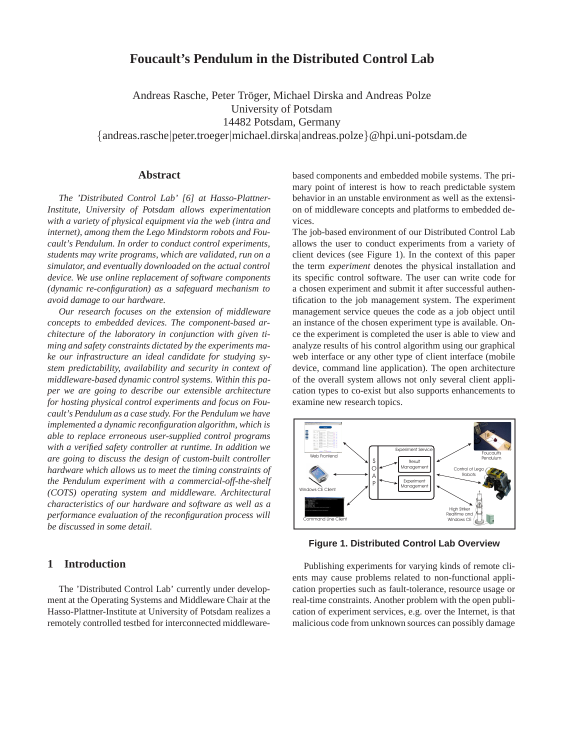# **Foucault's Pendulum in the Distributed Control Lab**

Andreas Rasche, Peter Tröger, Michael Dirska and Andreas Polze University of Potsdam 14482 Potsdam, Germany *{*andreas.rasche*|*peter.troeger*|*michael.dirska*|*andreas.polze*}*@hpi.uni-potsdam.de

# **Abstract**

*The 'Distributed Control Lab' [6] at Hasso-Plattner-Institute, University of Potsdam allows experimentation with a variety of physical equipment via the web (intra and internet), among them the Lego Mindstorm robots and Foucault's Pendulum. In order to conduct control experiments, students may write programs, which are validated, run on a simulator, and eventually downloaded on the actual control device. We use online replacement of software components (dynamic re-configuration) as a safeguard mechanism to avoid damage to our hardware.*

*Our research focuses on the extension of middleware concepts to embedded devices. The component-based architecture of the laboratory in conjunction with given timing and safety constraints dictated by the experiments make our infrastructure an ideal candidate for studying system predictability, availability and security in context of middleware-based dynamic control systems. Within this paper we are going to describe our extensible architecture for hosting physical control experiments and focus on Foucault's Pendulum as a case study. For the Pendulum we have implemented a dynamic reconfiguration algorithm, which is able to replace erroneous user-supplied control programs with a verified safety controller at runtime. In addition we are going to discuss the design of custom-built controller hardware which allows us to meet the timing constraints of the Pendulum experiment with a commercial-off-the-shelf (COTS) operating system and middleware. Architectural characteristics of our hardware and software as well as a performance evaluation of the reconfiguration process will be discussed in some detail.*

# **1 Introduction**

The 'Distributed Control Lab' currently under development at the Operating Systems and Middleware Chair at the Hasso-Plattner-Institute at University of Potsdam realizes a remotely controlled testbed for interconnected middlewarebased components and embedded mobile systems. The primary point of interest is how to reach predictable system behavior in an unstable environment as well as the extension of middleware concepts and platforms to embedded devices.

The job-based environment of our Distributed Control Lab allows the user to conduct experiments from a variety of client devices (see Figure 1). In the context of this paper the term *experiment* denotes the physical installation and its specific control software. The user can write code for a chosen experiment and submit it after successful authentification to the job management system. The experiment management service queues the code as a job object until an instance of the chosen experiment type is available. Once the experiment is completed the user is able to view and analyze results of his control algorithm using our graphical web interface or any other type of client interface (mobile device, command line application). The open architecture of the overall system allows not only several client application types to co-exist but also supports enhancements to examine new research topics.



**Figure 1. Distributed Control Lab Overview**

Publishing experiments for varying kinds of remote clients may cause problems related to non-functional application properties such as fault-tolerance, resource usage or real-time constraints. Another problem with the open publication of experiment services, e.g. over the Internet, is that malicious code from unknown sources can possibly damage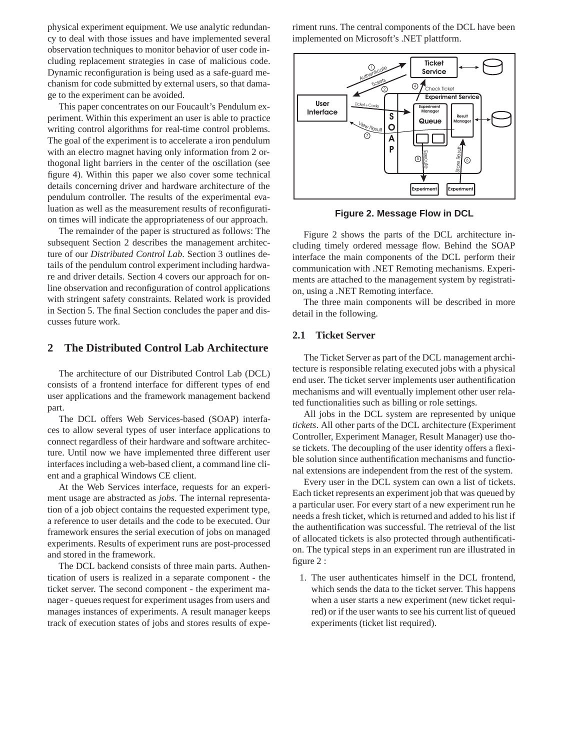physical experiment equipment. We use analytic redundancy to deal with those issues and have implemented several observation techniques to monitor behavior of user code including replacement strategies in case of malicious code. Dynamic reconfiguration is being used as a safe-guard mechanism for code submitted by external users, so that damage to the experiment can be avoided.

This paper concentrates on our Foucault's Pendulum experiment. Within this experiment an user is able to practice writing control algorithms for real-time control problems. The goal of the experiment is to accelerate a iron pendulum with an electro magnet having only information from 2 orthogonal light barriers in the center of the oscillation (see figure 4). Within this paper we also cover some technical details concerning driver and hardware architecture of the pendulum controller. The results of the experimental evaluation as well as the measurement results of reconfiguration times will indicate the appropriateness of our approach.

The remainder of the paper is structured as follows: The subsequent Section 2 describes the management architecture of our *Distributed Control Lab*. Section 3 outlines details of the pendulum control experiment including hardware and driver details. Section 4 covers our approach for online observation and reconfiguration of control applications with stringent safety constraints. Related work is provided in Section 5. The final Section concludes the paper and discusses future work.

# **2 The Distributed Control Lab Architecture**

The architecture of our Distributed Control Lab (DCL) consists of a frontend interface for different types of end user applications and the framework management backend part.

The DCL offers Web Services-based (SOAP) interfaces to allow several types of user interface applications to connect regardless of their hardware and software architecture. Until now we have implemented three different user interfaces including a web-based client, a command line client and a graphical Windows CE client.

At the Web Services interface, requests for an experiment usage are abstracted as *jobs*. The internal representation of a job object contains the requested experiment type, a reference to user details and the code to be executed. Our framework ensures the serial execution of jobs on managed experiments. Results of experiment runs are post-processed and stored in the framework.

The DCL backend consists of three main parts. Authentication of users is realized in a separate component - the ticket server. The second component - the experiment manager - queues request for experiment usages from users and manages instances of experiments. A result manager keeps track of execution states of jobs and stores results of experiment runs. The central components of the DCL have been implemented on Microsoft's .NET plattform.



**Figure 2. Message Flow in DCL**

Figure 2 shows the parts of the DCL architecture including timely ordered message flow. Behind the SOAP interface the main components of the DCL perform their communication with .NET Remoting mechanisms. Experiments are attached to the management system by registration, using a .NET Remoting interface.

The three main components will be described in more detail in the following.

### **2.1 Ticket Server**

The Ticket Server as part of the DCL management architecture is responsible relating executed jobs with a physical end user. The ticket server implements user authentification mechanisms and will eventually implement other user related functionalities such as billing or role settings.

All jobs in the DCL system are represented by unique *tickets*. All other parts of the DCL architecture (Experiment Controller, Experiment Manager, Result Manager) use those tickets. The decoupling of the user identity offers a flexible solution since authentification mechanisms and functional extensions are independent from the rest of the system.

Every user in the DCL system can own a list of tickets. Each ticket represents an experiment job that was queued by a particular user. For every start of a new experiment run he needs a fresh ticket, which is returned and added to his list if the authentification was successful. The retrieval of the list of allocated tickets is also protected through authentification. The typical steps in an experiment run are illustrated in figure 2 :

1. The user authenticates himself in the DCL frontend, which sends the data to the ticket server. This happens when a user starts a new experiment (new ticket required) or if the user wants to see his current list of queued experiments (ticket list required).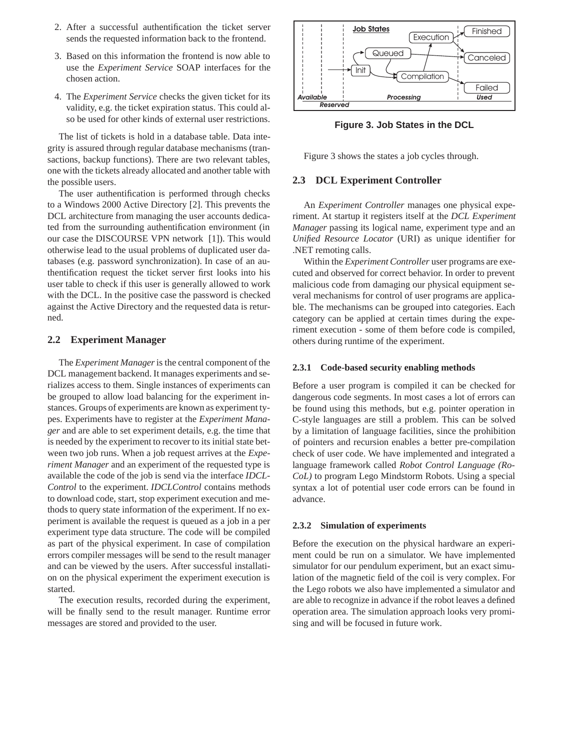- 2. After a successful authentification the ticket server sends the requested information back to the frontend.
- 3. Based on this information the frontend is now able to use the *Experiment Service* SOAP interfaces for the chosen action.
- 4. The *Experiment Service* checks the given ticket for its validity, e.g. the ticket expiration status. This could also be used for other kinds of external user restrictions.

The list of tickets is hold in a database table. Data integrity is assured through regular database mechanisms (transactions, backup functions). There are two relevant tables, one with the tickets already allocated and another table with the possible users.

The user authentification is performed through checks to a Windows 2000 Active Directory [2]. This prevents the DCL architecture from managing the user accounts dedicated from the surrounding authentification environment (in our case the DISCOURSE VPN network [1]). This would otherwise lead to the usual problems of duplicated user databases (e.g. password synchronization). In case of an authentification request the ticket server first looks into his user table to check if this user is generally allowed to work with the DCL. In the positive case the password is checked against the Active Directory and the requested data is returned.

#### **2.2 Experiment Manager**

The *Experiment Manager*is the central component of the DCL management backend. It manages experiments and serializes access to them. Single instances of experiments can be grouped to allow load balancing for the experiment instances. Groups of experiments are known as experiment types. Experiments have to register at the *Experiment Manager* and are able to set experiment details, e.g. the time that is needed by the experiment to recover to its initial state between two job runs. When a job request arrives at the *Experiment Manager* and an experiment of the requested type is available the code of the job is send via the interface *IDCL-Control* to the experiment. *IDCLControl* contains methods to download code, start, stop experiment execution and methods to query state information of the experiment. If no experiment is available the request is queued as a job in a per experiment type data structure. The code will be compiled as part of the physical experiment. In case of compilation errors compiler messages will be send to the result manager and can be viewed by the users. After successful installation on the physical experiment the experiment execution is started.

The execution results, recorded during the experiment, will be finally send to the result manager. Runtime error messages are stored and provided to the user.



**Figure 3. Job States in the DCL**

Figure 3 shows the states a job cycles through.

#### **2.3 DCL Experiment Controller**

An *Experiment Controller* manages one physical experiment. At startup it registers itself at the *DCL Experiment Manager* passing its logical name, experiment type and an *Unified Resource Locator* (URI) as unique identifier for .NET remoting calls.

Within the *Experiment Controller* user programs are executed and observed for correct behavior. In order to prevent malicious code from damaging our physical equipment several mechanisms for control of user programs are applicable. The mechanisms can be grouped into categories. Each category can be applied at certain times during the experiment execution - some of them before code is compiled, others during runtime of the experiment.

#### **2.3.1 Code-based security enabling methods**

Before a user program is compiled it can be checked for dangerous code segments. In most cases a lot of errors can be found using this methods, but e.g. pointer operation in C-style languages are still a problem. This can be solved by a limitation of language facilities, since the prohibition of pointers and recursion enables a better pre-compilation check of user code. We have implemented and integrated a language framework called *Robot Control Language (Ro-CoL)* to program Lego Mindstorm Robots. Using a special syntax a lot of potential user code errors can be found in advance.

#### **2.3.2 Simulation of experiments**

Before the execution on the physical hardware an experiment could be run on a simulator. We have implemented simulator for our pendulum experiment, but an exact simulation of the magnetic field of the coil is very complex. For the Lego robots we also have implemented a simulator and are able to recognize in advance if the robot leaves a defined operation area. The simulation approach looks very promising and will be focused in future work.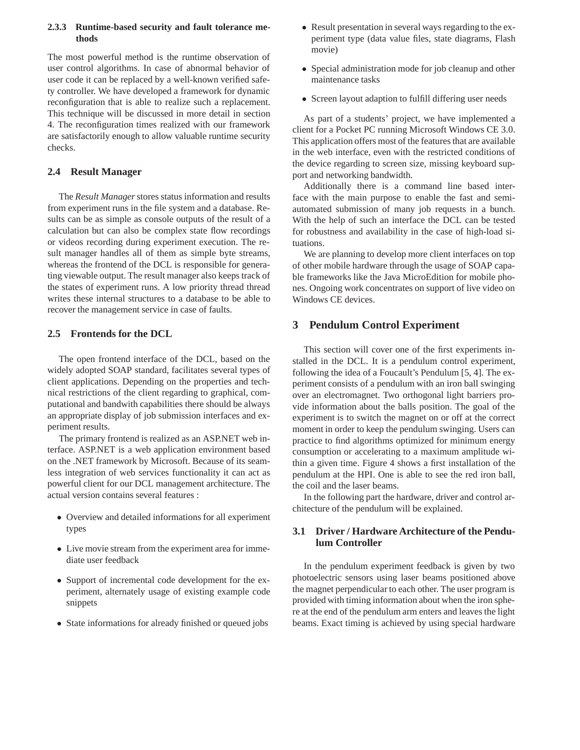### **2.3.3 Runtime-based security and fault tolerance methods**

The most powerful method is the runtime observation of user control algorithms. In case of abnormal behavior of user code it can be replaced by a well-known verified safety controller. We have developed a framework for dynamic reconfiguration that is able to realize such a replacement. This technique will be discussed in more detail in section 4. The reconfiguration times realized with our framework are satisfactorily enough to allow valuable runtime security checks.

# **2.4 Result Manager**

The *Result Manager*stores status information and results from experiment runs in the file system and a database. Results can be as simple as console outputs of the result of a calculation but can also be complex state flow recordings or videos recording during experiment execution. The result manager handles all of them as simple byte streams, whereas the frontend of the DCL is responsible for generating viewable output. The result manager also keeps track of the states of experiment runs. A low priority thread thread writes these internal structures to a database to be able to recover the management service in case of faults.

# **2.5 Frontends for the DCL**

The open frontend interface of the DCL, based on the widely adopted SOAP standard, facilitates several types of client applications. Depending on the properties and technical restrictions of the client regarding to graphical, computational and bandwith capabilities there should be always an appropriate display of job submission interfaces and experiment results.

The primary frontend is realized as an ASP.NET web interface. ASP.NET is a web application environment based on the .NET framework by Microsoft. Because of its seamless integration of web services functionality it can act as powerful client for our DCL management architecture. The actual version contains several features :

- *•* Overview and detailed informations for all experiment types
- *•* Live movie stream from the experiment area for immediate user feedback
- *•* Support of incremental code development for the experiment, alternately usage of existing example code snippets
- State informations for already finished or queued jobs
- *•* Result presentation in several ways regarding to the experiment type (data value files, state diagrams, Flash movie)
- *•* Special administration mode for job cleanup and other maintenance tasks
- *•* Screen layout adaption to fulfill differing user needs

As part of a students' project, we have implemented a client for a Pocket PC running Microsoft Windows CE 3.0. This application offers most of the features that are available in the web interface, even with the restricted conditions of the device regarding to screen size, missing keyboard support and networking bandwidth.

Additionally there is a command line based interface with the main purpose to enable the fast and semiautomated submission of many job requests in a bunch. With the help of such an interface the DCL can be tested for robustness and availability in the case of high-load situations.

We are planning to develop more client interfaces on top of other mobile hardware through the usage of SOAP capable frameworks like the Java MicroEdition for mobile phones. Ongoing work concentrates on support of live video on Windows CE devices.

# **3 Pendulum Control Experiment**

This section will cover one of the first experiments installed in the DCL. It is a pendulum control experiment, following the idea of a Foucault's Pendulum [5, 4]. The experiment consists of a pendulum with an iron ball swinging over an electromagnet. Two orthogonal light barriers provide information about the balls position. The goal of the experiment is to switch the magnet on or off at the correct moment in order to keep the pendulum swinging. Users can practice to find algorithms optimized for minimum energy consumption or accelerating to a maximum amplitude within a given time. Figure 4 shows a first installation of the pendulum at the HPI. One is able to see the red iron ball, the coil and the laser beams.

In the following part the hardware, driver and control architecture of the pendulum will be explained.

# **3.1 Driver / Hardware Architecture of the Pendulum Controller**

In the pendulum experiment feedback is given by two photoelectric sensors using laser beams positioned above the magnet perpendicular to each other. The user program is provided with timing information about when the iron sphere at the end of the pendulum arm enters and leaves the light beams. Exact timing is achieved by using special hardware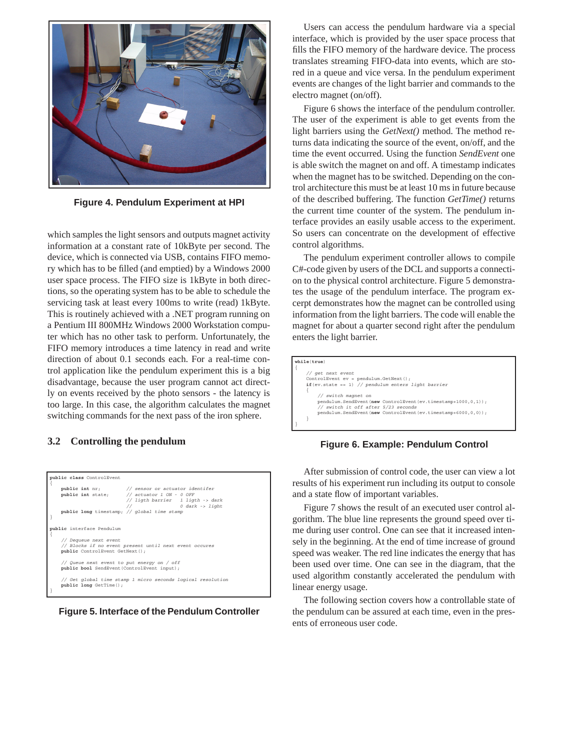

**Figure 4. Pendulum Experiment at HPI**

which samples the light sensors and outputs magnet activity information at a constant rate of 10kByte per second. The device, which is connected via USB, contains FIFO memory which has to be filled (and emptied) by a Windows 2000 user space process. The FIFO size is 1kByte in both directions, so the operating system has to be able to schedule the servicing task at least every 100ms to write (read) 1kByte. This is routinely achieved with a .NET program running on a Pentium III 800MHz Windows 2000 Workstation computer which has no other task to perform. Unfortunately, the FIFO memory introduces a time latency in read and write direction of about 0.1 seconds each. For a real-time control application like the pendulum experiment this is a big disadvantage, because the user program cannot act directly on events received by the photo sensors - the latency is too large. In this case, the algorithm calculates the magnet switching commands for the next pass of the iron sphere.

### **3.2 Controlling the pendulum**





Users can access the pendulum hardware via a special interface, which is provided by the user space process that fills the FIFO memory of the hardware device. The process translates streaming FIFO-data into events, which are stored in a queue and vice versa. In the pendulum experiment events are changes of the light barrier and commands to the electro magnet (on/off).

Figure 6 shows the interface of the pendulum controller. The user of the experiment is able to get events from the light barriers using the *GetNext()* method. The method returns data indicating the source of the event, on/off, and the time the event occurred. Using the function *SendEvent* one is able switch the magnet on and off. A timestamp indicates when the magnet has to be switched. Depending on the control architecture this must be at least 10 ms in future because of the described buffering. The function *GetTime()* returns the current time counter of the system. The pendulum interface provides an easily usable access to the experiment. So users can concentrate on the development of effective control algorithms.

The pendulum experiment controller allows to compile C#-code given by users of the DCL and supports a connection to the physical control architecture. Figure 5 demonstrates the usage of the pendulum interface. The program excerpt demonstrates how the magnet can be controlled using information from the light barriers. The code will enable the magnet for about a quarter second right after the pendulum enters the light barrier.

| while(true)                                                  |
|--------------------------------------------------------------|
|                                                              |
| // get next event                                            |
| ControlEvent ev = pendulum.GetNext();                        |
| if (ev. state == 1) // pendulum enters light barrier         |
|                                                              |
| // switch magnet on                                          |
| pendulum.SendEvent(new ControlEvent(ev.timestamp+1000,0,1)); |
| // switch it off after 5/23 seconds                          |
| pendulum.SendEvent(new ControlEvent(ev.timestamp+6000,0,0)); |
|                                                              |
|                                                              |
|                                                              |

**Figure 6. Example: Pendulum Control**

After submission of control code, the user can view a lot results of his experiment run including its output to console and a state flow of important variables.

Figure 7 shows the result of an executed user control algorithm. The blue line represents the ground speed over time during user control. One can see that it increased intensely in the beginning. At the end of time increase of ground speed was weaker. The red line indicates the energy that has been used over time. One can see in the diagram, that the used algorithm constantly accelerated the pendulum with linear energy usage.

The following section covers how a controllable state of the pendulum can be assured at each time, even in the presents of erroneous user code.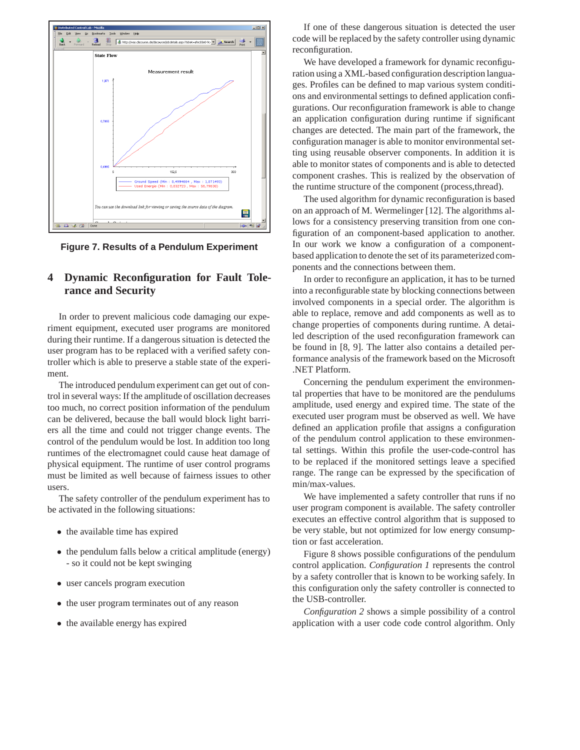

**Figure 7. Results of a Pendulum Experiment**

# **4 Dynamic Reconfiguration for Fault Tolerance and Security**

In order to prevent malicious code damaging our experiment equipment, executed user programs are monitored during their runtime. If a dangerous situation is detected the user program has to be replaced with a verified safety controller which is able to preserve a stable state of the experiment.

The introduced pendulum experiment can get out of control in several ways: If the amplitude of oscillation decreases too much, no correct position information of the pendulum can be delivered, because the ball would block light barriers all the time and could not trigger change events. The control of the pendulum would be lost. In addition too long runtimes of the electromagnet could cause heat damage of physical equipment. The runtime of user control programs must be limited as well because of fairness issues to other users.

The safety controller of the pendulum experiment has to be activated in the following situations:

- the available time has expired
- the pendulum falls below a critical amplitude (energy) - so it could not be kept swinging
- *•* user cancels program execution
- the user program terminates out of any reason
- the available energy has expired

If one of these dangerous situation is detected the user code will be replaced by the safety controller using dynamic reconfiguration.

We have developed a framework for dynamic reconfiguration using a XML-based configuration description languages. Profiles can be defined to map various system conditions and environmental settings to defined application configurations. Our reconfiguration framework is able to change an application configuration during runtime if significant changes are detected. The main part of the framework, the configuration manager is able to monitor environmental setting using reusable observer components. In addition it is able to monitor states of components and is able to detected component crashes. This is realized by the observation of the runtime structure of the component (process,thread).

The used algorithm for dynamic reconfiguration is based on an approach of M. Wermelinger [12]. The algorithms allows for a consistency preserving transition from one configuration of an component-based application to another. In our work we know a configuration of a componentbased application to denote the set of its parameterized components and the connections between them.

In order to reconfigure an application, it has to be turned into a reconfigurable state by blocking connections between involved components in a special order. The algorithm is able to replace, remove and add components as well as to change properties of components during runtime. A detailed description of the used reconfiguration framework can be found in [8, 9]. The latter also contains a detailed performance analysis of the framework based on the Microsoft .NET Platform.

Concerning the pendulum experiment the environmental properties that have to be monitored are the pendulums amplitude, used energy and expired time. The state of the executed user program must be observed as well. We have defined an application profile that assigns a configuration of the pendulum control application to these environmental settings. Within this profile the user-code-control has to be replaced if the monitored settings leave a specified range. The range can be expressed by the specification of min/max-values.

We have implemented a safety controller that runs if no user program component is available. The safety controller executes an effective control algorithm that is supposed to be very stable, but not optimized for low energy consumption or fast acceleration.

Figure 8 shows possible configurations of the pendulum control application. *Configuration 1* represents the control by a safety controller that is known to be working safely. In this configuration only the safety controller is connected to the USB-controller.

*Configuration 2* shows a simple possibility of a control application with a user code code control algorithm. Only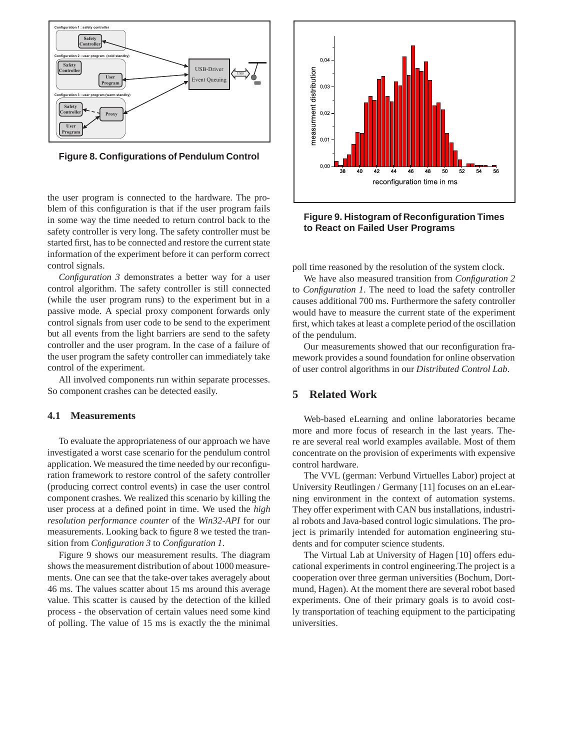

**Figure 8. Configurations of Pendulum Control**

the user program is connected to the hardware. The problem of this configuration is that if the user program fails in some way the time needed to return control back to the safety controller is very long. The safety controller must be started first, has to be connected and restore the current state information of the experiment before it can perform correct control signals.

*Configuration 3* demonstrates a better way for a user control algorithm. The safety controller is still connected (while the user program runs) to the experiment but in a passive mode. A special proxy component forwards only control signals from user code to be send to the experiment but all events from the light barriers are send to the safety controller and the user program. In the case of a failure of the user program the safety controller can immediately take control of the experiment.

All involved components run within separate processes. So component crashes can be detected easily.

### **4.1 Measurements**

To evaluate the appropriateness of our approach we have investigated a worst case scenario for the pendulum control application. We measured the time needed by our reconfiguration framework to restore control of the safety controller (producing correct control events) in case the user control component crashes. We realized this scenario by killing the user process at a defined point in time. We used the *high resolution performance counter* of the *Win32-API* for our measurements. Looking back to figure 8 we tested the transition from *Configuration 3* to *Configuration 1*.

Figure 9 shows our measurement results. The diagram shows the measurement distribution of about 1000 measurements. One can see that the take-over takes averagely about 46 ms. The values scatter about 15 ms around this average value. This scatter is caused by the detection of the killed process - the observation of certain values need some kind of polling. The value of 15 ms is exactly the the minimal



**Figure 9. Histogram of Reconfiguration Times to React on Failed User Programs**

poll time reasoned by the resolution of the system clock.

We have also measured transition from *Configuration 2* to *Configuration 1*. The need to load the safety controller causes additional 700 ms. Furthermore the safety controller would have to measure the current state of the experiment first, which takes at least a complete period of the oscillation of the pendulum.

Our measurements showed that our reconfiguration framework provides a sound foundation for online observation of user control algorithms in our *Distributed Control Lab*.

# **5 Related Work**

Web-based eLearning and online laboratories became more and more focus of research in the last years. There are several real world examples available. Most of them concentrate on the provision of experiments with expensive control hardware.

The VVL (german: Verbund Virtuelles Labor) project at University Reutlingen / Germany [11] focuses on an eLearning environment in the context of automation systems. They offer experiment with CAN bus installations, industrial robots and Java-based control logic simulations. The project is primarily intended for automation engineering students and for computer science students.

The Virtual Lab at University of Hagen [10] offers educational experiments in control engineering.The project is a cooperation over three german universities (Bochum, Dortmund, Hagen). At the moment there are several robot based experiments. One of their primary goals is to avoid costly transportation of teaching equipment to the participating universities.